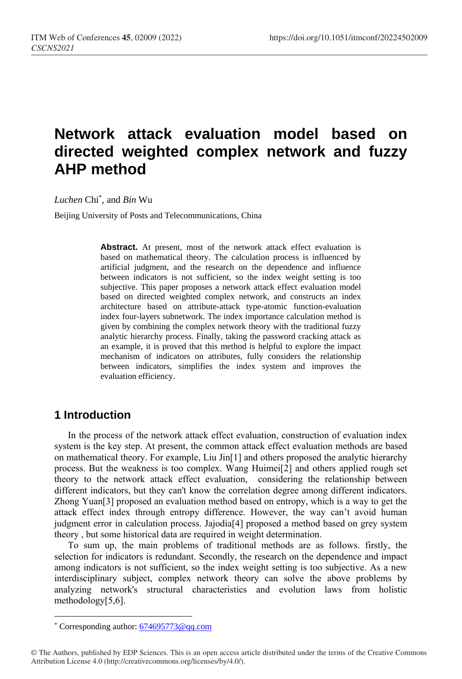# **Network attack evaluation model based on directed weighted complex network and fuzzy AHP method**

*Luchen* Chi\* , and *Bin* Wu

Beijing University of Posts and Telecommunications, China

**Abstract.** At present, most of the network attack effect evaluation is based on mathematical theory. The calculation process is influenced by artificial judgment, and the research on the dependence and influence between indicators is not sufficient, so the index weight setting is too subjective. This paper proposes a network attack effect evaluation model based on directed weighted complex network, and constructs an index architecture based on attribute-attack type-atomic function-evaluation index four-layers subnetwork. The index importance calculation method is given by combining the complex network theory with the traditional fuzzy analytic hierarchy process. Finally, taking the password cracking attack as an example, it is proved that this method is helpful to explore the impact mechanism of indicators on attributes, fully considers the relationship between indicators, simplifies the index system and improves the evaluation efficiency.

## **1 Introduction**

 $\overline{a}$ 

In the process of the network attack effect evaluation, construction of evaluation index system is the key step. At present, the common attack effect evaluation methods are based on mathematical theory. For example, Liu Jin[\[1\]](#page-5-0) and others proposed the analytic hierarchy process. But the weakness is too complex. Wang Huimei[\[2\]](#page-5-1) and others applied rough set theory to the network attack effect evaluation, considering the relationship between different indicators, but they can't know the correlation degree among different indicators. Zhong Yuan[\[3\]](#page-5-2) proposed an evaluation method based on entropy, which is a way to get the attack effect index through entropy difference. However, the way can't avoid human judgment error in calculation process. Jajodia[\[4\]](#page-5-3) proposed a method based on grey system theory , but some historical data are required in weight determination.

To sum up, the main problems of traditional methods are as follows. firstly, the selection for indicators is redundant. Secondly, the research on the dependence and impact among indicators is not sufficient, so the index weight setting is too subjective. As a new interdisciplinary subject, complex network theory can solve the above problems by analyzing network's structural characteristics and evolution laws from holistic methodology[\[5](#page-5-4)[,6\]](#page-5-5).

<sup>\*</sup> Corresponding author[: 674695773@qq.com](mailto:674695773@qq.com)

<sup>©</sup> The Authors, published by EDP Sciences. This is an open access article distributed under the terms of the Creative Commons Attribution License 4.0 (http://creativecommons.org/licenses/by/4.0/).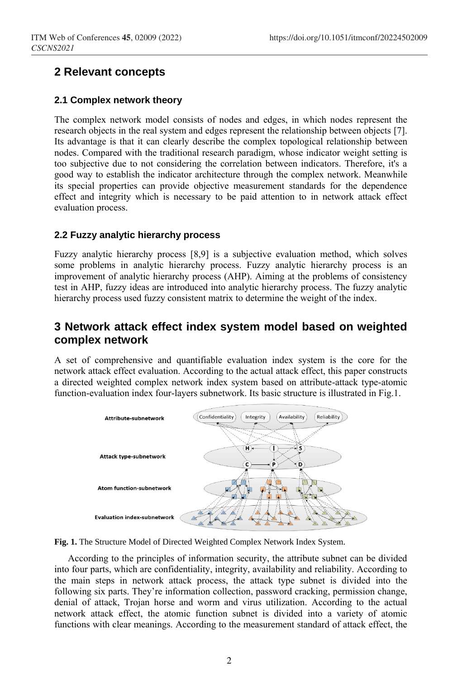# **2 Relevant concepts**

## **2.1 Complex network theory**

The complex network model consists of nodes and edges, in which nodes represent the research objects in the real system and edges represent the relationship between objects [\[7\]](#page-5-6). Its advantage is that it can clearly describe the complex topological relationship between nodes. Compared with the traditional research paradigm, whose indicator weight setting is too subjective due to not considering the correlation between indicators. Therefore, it's a good way to establish the indicator architecture through the complex network. Meanwhile its special properties can provide objective measurement standards for the dependence effect and integrity which is necessary to be paid attention to in network attack effect evaluation process.

## **2.2 Fuzzy analytic hierarchy process**

Fuzzy analytic hierarchy process [\[8](#page-5-7)[,9\]](#page-5-8) is a subjective evaluation method, which solves some problems in analytic hierarchy process. Fuzzy analytic hierarchy process is an improvement of analytic hierarchy process (AHP). Aiming at the problems of consistency test in AHP, fuzzy ideas are introduced into analytic hierarchy process. The fuzzy analytic hierarchy process used fuzzy consistent matrix to determine the weight of the index.

## **3 Network attack effect index system model based on weighted complex network**

A set of comprehensive and quantifiable evaluation index system is the core for the network attack effect evaluation. According to the actual attack effect, this paper constructs a directed weighted complex network index system based on attribute-attack type-atomic function-evaluation index four-layers subnetwork. Its basic structure is illustrated in Fig.1.



**Fig. 1.** The Structure Model of Directed Weighted Complex Network Index System.

According to the principles of information security, the attribute subnet can be divided into four parts, which are confidentiality, integrity, availability and reliability. According to the main steps in network attack process, the attack type subnet is divided into the following six parts. They're information collection, password cracking, permission change, denial of attack, Trojan horse and worm and virus utilization. According to the actual network attack effect, the atomic function subnet is divided into a variety of atomic functions with clear meanings. According to the measurement standard of attack effect, the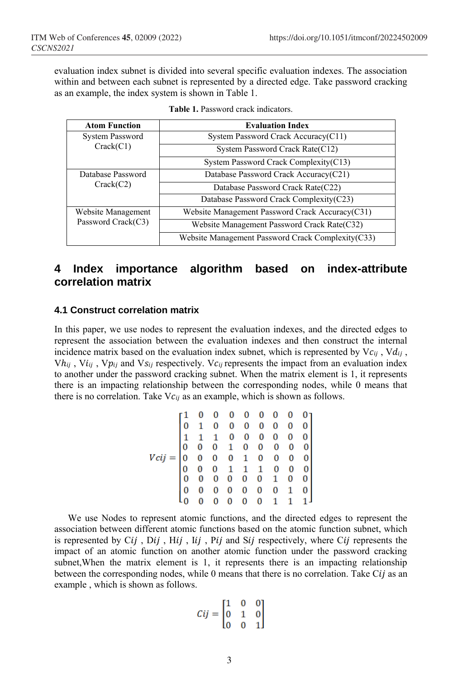evaluation index subnet is divided into several specific evaluation indexes. The association within and between each subnet is represented by a directed edge. Take password cracking as an example, the index system is shown in Table 1.

| <b>Atom Function</b>                     | <b>Evaluation Index</b>                            |  |  |
|------------------------------------------|----------------------------------------------------|--|--|
| System Password<br>Crack(C1)             | System Password Crack Accuracy(C11)                |  |  |
|                                          | System Password Crack Rate(C12)                    |  |  |
|                                          | System Password Crack Complexity (C13)             |  |  |
| Database Password<br>Crack(C2)           | Database Password Crack Accuracy(C21)              |  |  |
|                                          | Database Password Crack Rate (C22)                 |  |  |
|                                          | Database Password Crack Complexity (C23)           |  |  |
| Website Management<br>Password Crack(C3) | Website Management Password Crack Accuracy(C31)    |  |  |
|                                          | Website Management Password Crack Rate (C32)       |  |  |
|                                          | Website Management Password Crack Complexity (C33) |  |  |

## **4 Index importance algorithm based on index-attribute correlation matrix**

## **4.1 Construct correlation matrix**

In this paper, we use nodes to represent the evaluation indexes, and the directed edges to represent the association between the evaluation indexes and then construct the internal incidence matrix based on the evaluation index subnet, which is represented by  $Vc_{ij}$ ,  $Vd_{ij}$ ,  $Vh_{ij}$ ,  $Vi_{ij}$ ,  $Vp_{ij}$  and  $Vs_{ij}$  respectively.  $Vc_{ij}$  represents the impact from an evaluation index to another under the password cracking subnet. When the matrix element is 1, it represents there is an impacting relationship between the corresponding nodes, while 0 means that there is no correlation. Take  $Vc_{ij}$  as an example, which is shown as follows.

$$
Vcij = \begin{bmatrix} 1 & 0 & 0 & 0 & 0 & 0 & 0 & 0 & 0 \\ 0 & 1 & 0 & 0 & 0 & 0 & 0 & 0 & 0 \\ 1 & 1 & 1 & 0 & 0 & 0 & 0 & 0 & 0 \\ 0 & 0 & 0 & 1 & 0 & 0 & 0 & 0 & 0 \\ 0 & 0 & 0 & 0 & 1 & 0 & 0 & 0 & 0 \\ 0 & 0 & 0 & 1 & 1 & 1 & 0 & 0 & 0 \\ 0 & 0 & 0 & 0 & 0 & 0 & 1 & 0 & 0 \\ 0 & 0 & 0 & 0 & 0 & 0 & 0 & 1 & 1 \\ 0 & 0 & 0 & 0 & 0 & 0 & 1 & 1 & 1 \end{bmatrix}
$$

We use Nodes to represent atomic functions, and the directed edges to represent the association between different atomic functions based on the atomic function subnet, which is represented by  $Cij$ ,  $Dij$ ,  $Hij$ ,  $Iij$ ,  $Pij$  and  $Sij$  respectively, where  $Cij$  represents the impact of an atomic function on another atomic function under the password cracking subnet,When the matrix element is 1, it represents there is an impacting relationship between the corresponding nodes, while 0 means that there is no correlation. Take Cij as an example , which is shown as follows.

$$
Cij = \begin{bmatrix} 1 & 0 & 0 \\ 0 & 1 & 0 \\ 0 & 0 & 1 \end{bmatrix}
$$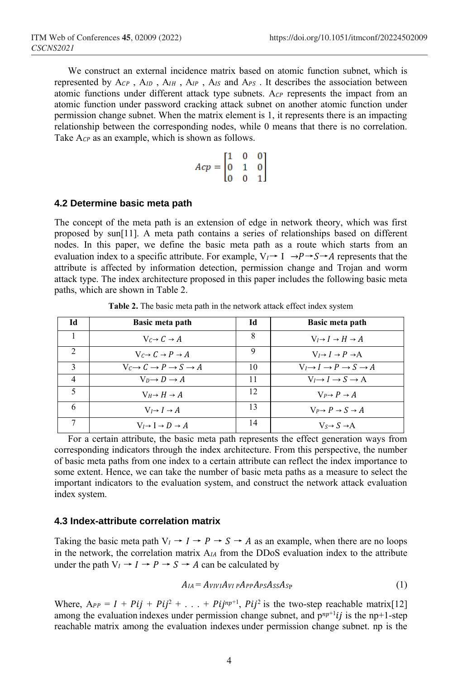We construct an external incidence matrix based on atomic function subnet, which is represented by  $A_{CP}$ ,  $A_{ID}$ ,  $A_{IH}$ ,  $A_{IP}$ ,  $A_{IS}$  and  $A_{PS}$ . It describes the association between atomic functions under different attack type subnets.  $A_{\mathcal{CP}}$  represents the impact from an atomic function under password cracking attack subnet on another atomic function under permission change subnet. When the matrix element is 1, it represents there is an impacting relationship between the corresponding nodes, while 0 means that there is no correlation. Take  $A_{\mathcal{CP}}$  as an example, which is shown as follows.

| $Acp = \begin{bmatrix} 1 & 0 & 0 \\ 0 & 1 & 0 \\ 0 & 0 & 1 \end{bmatrix}$ |  |  |
|---------------------------------------------------------------------------|--|--|
|                                                                           |  |  |

#### **4.2 Determine basic meta path**

The concept of the meta path is an extension of edge in network theory, which was first proposed by sun[11]. A meta path contains a series of relationships based on different nodes. In this paper, we define the basic meta path as a route which starts from an evaluation index to a specific attribute. For example,  $V_I \rightarrow I \rightarrow P \rightarrow S \rightarrow A$  represents that the attribute is affected by information detection, permission change and Trojan and worm attack type. The index architecture proposed in this paper includes the following basic meta paths, which are shown in Table 2.

| Id            | Basic meta path                                               | Id | Basic meta path                                               |
|---------------|---------------------------------------------------------------|----|---------------------------------------------------------------|
|               | $V_c \rightarrow C \rightarrow A$                             | 8  | $V_I \rightarrow I \rightarrow H \rightarrow A$               |
| C             | $V_C \rightarrow C \rightarrow P \rightarrow A$               | Q  | $V_I \rightarrow I \rightarrow P \rightarrow A$               |
| $\mathcal{R}$ | $V_c \rightarrow C \rightarrow P \rightarrow S \rightarrow A$ | 10 | $V_I \rightarrow I \rightarrow P \rightarrow S \rightarrow A$ |
| 4             | $V_D \rightarrow D \rightarrow A$                             | 11 | $V_I \rightarrow I \rightarrow S \rightarrow A$               |
| $\varsigma$   | $V_H \rightarrow H \rightarrow A$                             | 12 | $V_{P\rightarrow} P \rightarrow A$                            |
| 6             | $V \mapsto I \rightarrow A$                                   | 13 | $V_{P\rightarrow} P \rightarrow S \rightarrow A$              |
|               | $V_I \rightarrow I \rightarrow D \rightarrow A$               | 14 | $V_S \rightarrow S \rightarrow A$                             |

**Table 2.** The basic meta path in the network attack effect index system

For a certain attribute, the basic meta path represents the effect generation ways from corresponding indicators through the index architecture. From this perspective, the number of basic meta paths from one index to a certain attribute can reflect the index importance to some extent. Hence, we can take the number of basic meta paths as a measure to select the important indicators to the evaluation system, and construct the network attack evaluation index system.

#### **4.3 Index-attribute correlation matrix**

Taking the basic meta path  $V_l \rightarrow I \rightarrow P \rightarrow S \rightarrow A$  as an example, when there are no loops in the network, the correlation matrix  $A_{1A}$  from the DDoS evaluation index to the attribute under the path  $V_I \rightarrow I \rightarrow P \rightarrow S \rightarrow A$  can be calculated by

$$
A_{IA} = A_{VIVI} A_{VI} \, pA_{PP} A_{PS} A_{SS} A_{SP} \tag{1}
$$

Where,  $A_{PP} = I + Pij + Pij^2 + ... + Pij^{np+1}$ ,  $Pij^2$  is the two-step reachable matrix [12] among the evaluation indexes under permission change subnet, and  $p^{np+1}ij$  is the np+1-step reachable matrix among the evaluation indexes under permission change subnet. np is the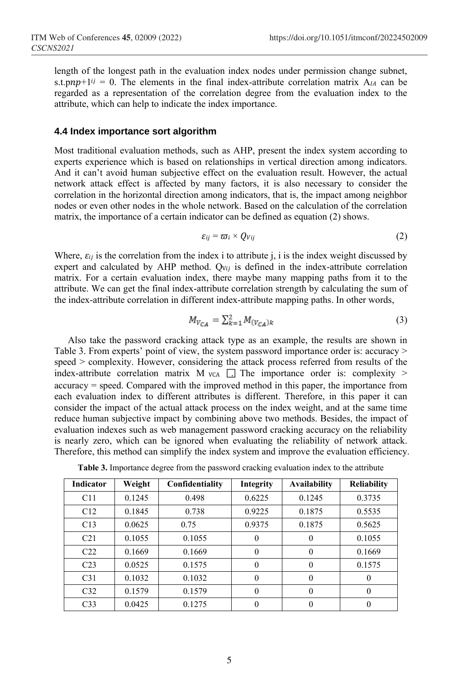length of the longest path in the evaluation index nodes under permission change subnet, s.t.pnp+1 $ij = 0$ . The elements in the final index-attribute correlation matrix A<sub>IA</sub> can be regarded as a representation of the correlation degree from the evaluation index to the attribute, which can help to indicate the index importance.

#### **4.4 Index importance sort algorithm**

Most traditional evaluation methods, such as AHP, present the index system according to experts experience which is based on relationships in vertical direction among indicators. And it can't avoid human subjective effect on the evaluation result. However, the actual network attack effect is affected by many factors, it is also necessary to consider the correlation in the horizontal direction among indicators, that is, the impact among neighbor nodes or even other nodes in the whole network. Based on the calculation of the correlation matrix, the importance of a certain indicator can be defined as equation (2) shows.

$$
\varepsilon_{ij} = \varpi_i \times Q_{Vij} \tag{2}
$$

Where,  $\varepsilon_{ij}$  is the correlation from the index i to attribute j, i is the index weight discussed by expert and calculated by AHP method.  $Q_{Vij}$  is defined in the index-attribute correlation matrix. For a certain evaluation index, there maybe many mapping paths from it to the attribute. We can get the final index-attribute correlation strength by calculating the sum of the index-attribute correlation in different index-attribute mapping paths. In other words,

$$
M_{V_{CA}} = \sum_{k=1}^{2} M_{(V_{CA})k}
$$
 (3)

Also take the password cracking attack type as an example, the results are shown in Table 3. From experts' point of view, the system password importance order is: accuracy > speed > complexity. However, considering the attack process referred from results of the index-attribute correlation matrix M  $vCA$   $\Box$  The importance order is: complexity > accuracy = speed. Compared with the improved method in this paper, the importance from each evaluation index to different attributes is different. Therefore, in this paper it can consider the impact of the actual attack process on the index weight, and at the same time reduce human subjective impact by combining above two methods. Besides, the impact of evaluation indexes such as web management password cracking accuracy on the reliability is nearly zero, which can be ignored when evaluating the reliability of network attack. Therefore, this method can simplify the index system and improve the evaluation efficiency.

**Table 3.** Importance degree from the password cracking evaluation index to the attribute

| Indicator       | Weight | Confidentiality | Integrity | <b>Availability</b> | <b>Reliability</b> |
|-----------------|--------|-----------------|-----------|---------------------|--------------------|
| C11             | 0.1245 | 0.498           | 0.6225    | 0.1245              | 0.3735             |
| C12             | 0.1845 | 0.738           | 0.9225    | 0.1875              | 0.5535             |
| C13             | 0.0625 | 0.75            | 0.9375    | 0.1875              | 0.5625             |
| C <sub>21</sub> | 0.1055 | 0.1055          | 0         |                     | 0.1055             |
| C <sub>22</sub> | 0.1669 | 0.1669          | $\theta$  | 0                   | 0.1669             |
| C <sub>23</sub> | 0.0525 | 0.1575          | $\theta$  | 0                   | 0.1575             |
| C <sub>31</sub> | 0.1032 | 0.1032          | 0         | 0                   | $\theta$           |
| C <sub>32</sub> | 0.1579 | 0.1579          | 0         |                     | $\theta$           |
| C <sub>33</sub> | 0.0425 | 0.1275          |           |                     | 0                  |